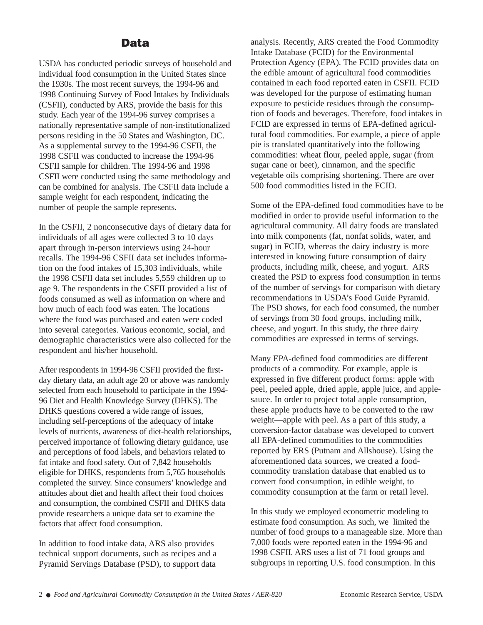## **Data**

USDA has conducted periodic surveys of household and individual food consumption in the United States since the 1930s. The most recent surveys, the 1994-96 and 1998 Continuing Survey of Food Intakes by Individuals (CSFII), conducted by ARS, provide the basis for this study. Each year of the 1994-96 survey comprises a nationally representative sample of non-institutionalized persons residing in the 50 States and Washington, DC. As a supplemental survey to the 1994-96 CSFII, the 1998 CSFII was conducted to increase the 1994-96 CSFII sample for children. The 1994-96 and 1998 CSFII were conducted using the same methodology and can be combined for analysis. The CSFII data include a sample weight for each respondent, indicating the number of people the sample represents.

In the CSFII, 2 nonconsecutive days of dietary data for individuals of all ages were collected 3 to 10 days apart through in-person interviews using 24-hour recalls. The 1994-96 CSFII data set includes information on the food intakes of 15,303 individuals, while the 1998 CSFII data set includes 5,559 children up to age 9. The respondents in the CSFII provided a list of foods consumed as well as information on where and how much of each food was eaten. The locations where the food was purchased and eaten were coded into several categories. Various economic, social, and demographic characteristics were also collected for the respondent and his/her household.

After respondents in 1994-96 CSFII provided the firstday dietary data, an adult age 20 or above was randomly selected from each household to participate in the 1994- 96 Diet and Health Knowledge Survey (DHKS). The DHKS questions covered a wide range of issues, including self-perceptions of the adequacy of intake levels of nutrients, awareness of diet-health relationships, perceived importance of following dietary guidance, use and perceptions of food labels, and behaviors related to fat intake and food safety. Out of 7,842 households eligible for DHKS, respondents from 5,765 households completed the survey. Since consumers' knowledge and attitudes about diet and health affect their food choices and consumption, the combined CSFII and DHKS data provide researchers a unique data set to examine the factors that affect food consumption.

In addition to food intake data, ARS also provides technical support documents, such as recipes and a Pyramid Servings Database (PSD), to support data

analysis. Recently, ARS created the Food Commodity Intake Database (FCID) for the Environmental Protection Agency (EPA). The FCID provides data on the edible amount of agricultural food commodities contained in each food reported eaten in CSFII. FCID was developed for the purpose of estimating human exposure to pesticide residues through the consumption of foods and beverages. Therefore, food intakes in FCID are expressed in terms of EPA-defined agricultural food commodities. For example, a piece of apple pie is translated quantitatively into the following commodities: wheat flour, peeled apple, sugar (from sugar cane or beet), cinnamon, and the specific vegetable oils comprising shortening. There are over 500 food commodities listed in the FCID.

Some of the EPA-defined food commodities have to be modified in order to provide useful information to the agricultural community. All dairy foods are translated into milk components (fat, nonfat solids, water, and sugar) in FCID, whereas the dairy industry is more interested in knowing future consumption of dairy products, including milk, cheese, and yogurt. ARS created the PSD to express food consumption in terms of the number of servings for comparison with dietary recommendations in USDA's Food Guide Pyramid. The PSD shows, for each food consumed, the number of servings from 30 food groups, including milk, cheese, and yogurt. In this study, the three dairy commodities are expressed in terms of servings.

Many EPA-defined food commodities are different products of a commodity. For example, apple is expressed in five different product forms: apple with peel, peeled apple, dried apple, apple juice, and applesauce. In order to project total apple consumption, these apple products have to be converted to the raw weight—apple with peel. As a part of this study, a conversion-factor database was developed to convert all EPA-defined commodities to the commodities reported by ERS (Putnam and Allshouse). Using the aforementioned data sources, we created a foodcommodity translation database that enabled us to convert food consumption, in edible weight, to commodity consumption at the farm or retail level.

In this study we employed econometric modeling to estimate food consumption. As such, we limited the number of food groups to a manageable size. More than 7,000 foods were reported eaten in the 1994-96 and 1998 CSFII. ARS uses a list of 71 food groups and subgroups in reporting U.S. food consumption. In this